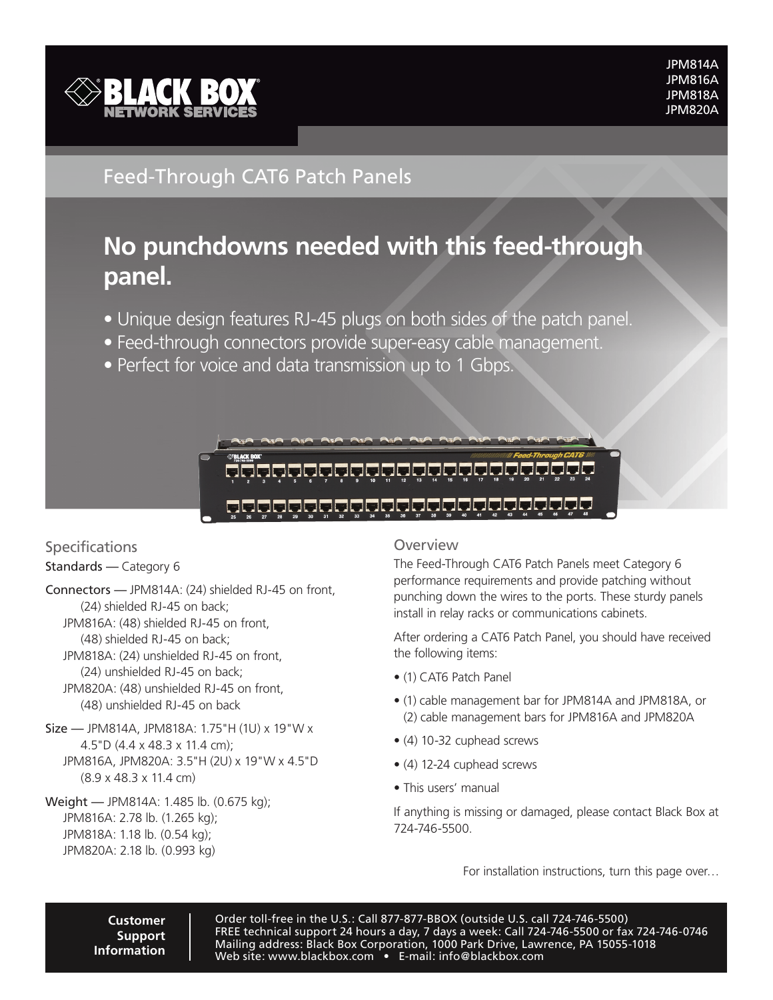

## Feed-Through CAT6 Patch Panels

# **No punchdowns needed with this feed-through panel.**

- Unique design features RJ-45 plugs on both sides of the patch panel.
- Feed-through connectors provide super-easy cable management.
- Perfect for voice and data transmission up to 1 Gbps.



### 

# Specifications

Standards — Category 6

Connectors — JPM814A: (24) shielded RJ-45 on front, (24) shielded RJ-45 on back; JPM816A: (48) shielded RJ-45 on front, (48) shielded RJ-45 on back; JPM818A: (24) unshielded RJ-45 on front, (24) unshielded RJ-45 on back; JPM820A: (48) unshielded RJ-45 on front,

- (48) unshielded RJ-45 on back
- Size JPM814A, JPM818A: 1.75"H (1U) x 19"W x 4.5"D (4.4 x 48.3 x 11.4 cm); JPM816A, JPM820A: 3.5"H (2U) x 19"W x 4.5"D (8.9 x 48.3 x 11.4 cm)

#### Weight — JPM814A: 1.485 lb. (0.675 kg); JPM816A: 2.78 lb. (1.265 kg); JPM818A: 1.18 lb. (0.54 kg); JPM820A: 2.18 lb. (0.993 kg)

### Overview

The Feed-Through CAT6 Patch Panels meet Category 6 performance requirements and provide patching without punching down the wires to the ports. These sturdy panels install in relay racks or communications cabinets.

After ordering a CAT6 Patch Panel, you should have received the following items:

- (1) CAT6 Patch Panel
- (1) cable management bar for JPM814A and JPM818A, or (2) cable management bars for JPM816A and JPM820A
- (4) 10-32 cuphead screws
- (4) 12-24 cuphead screws
- This users' manual

If anything is missing or damaged, please contact Black Box at 724-746-5500.

For installation instructions, turn this page over…

**Customer Support Information**

Order toll-free in the U.S.: Call 877-877-BBOX (outside U.S. call 724-746-5500) FREE technical support 24 hours a day, 7 days a week: Call 724-746-5500 or fax 724-746-0746 Mailing address: Black Box Corporation, 1000 Park Drive, Lawrence, PA 15055-1018 Web site: www.blackbox.com • E-mail: info@blackbox.com